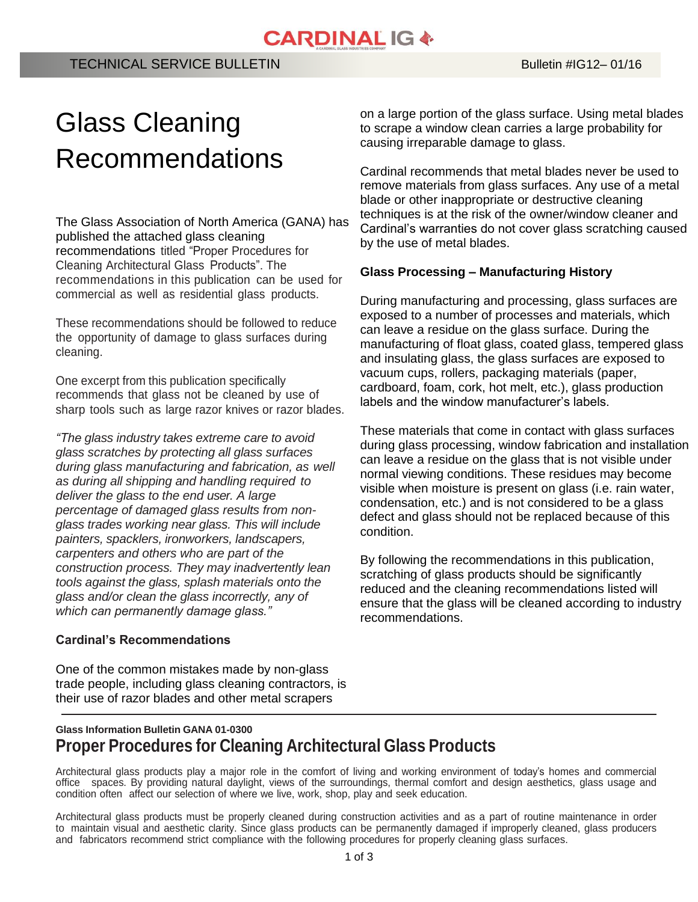# **CARDINAL IG &**

# Glass Cleaning Recommendations

The Glass Association of North America (GANA) has published the attached glass cleaning recommendations titled "Proper Procedures for Cleaning Architectural Glass Products". The recommendations in this publication can be used for commercial as well as residential glass products.

These recommendations should be followed to reduce the opportunity of damage to glass surfaces during cleaning.

One excerpt from this publication specifically recommends that glass not be cleaned by use of sharp tools such as large razor knives or razor blades.

*"The glass industry takes extreme care to avoid glass scratches by protecting all glass surfaces during glass manufacturing and fabrication, as well as during all shipping and handling required to deliver the glass to the end user. A large percentage of damaged glass results from nonglass trades working near glass. This will include painters, spacklers, ironworkers, landscapers, carpenters and others who are part of the construction process. They may inadvertently lean tools against the glass, splash materials onto the glass and/or clean the glass incorrectly, any of which can permanently damage glass."*

### **Cardinal's Recommendations**

One of the common mistakes made by non-glass trade people, including glass cleaning contractors, is their use of razor blades and other metal scrapers

on a large portion of the glass surface. Using metal blades to scrape a window clean carries a large probability for causing irreparable damage to glass.

Cardinal recommends that metal blades never be used to remove materials from glass surfaces. Any use of a metal blade or other inappropriate or destructive cleaning techniques is at the risk of the owner/window cleaner and Cardinal's warranties do not cover glass scratching caused by the use of metal blades.

#### **Glass Processing – Manufacturing History**

During manufacturing and processing, glass surfaces are exposed to a number of processes and materials, which can leave a residue on the glass surface. During the manufacturing of float glass, coated glass, tempered glass and insulating glass, the glass surfaces are exposed to vacuum cups, rollers, packaging materials (paper, cardboard, foam, cork, hot melt, etc.), glass production labels and the window manufacturer's labels.

These materials that come in contact with glass surfaces during glass processing, window fabrication and installation can leave a residue on the glass that is not visible under normal viewing conditions. These residues may become visible when moisture is present on glass (i.e. rain water, condensation, etc.) and is not considered to be a glass defect and glass should not be replaced because of this condition.

By following the recommendations in this publication, scratching of glass products should be significantly reduced and the cleaning recommendations listed will ensure that the glass will be cleaned according to industry recommendations.

# **Glass Information Bulletin GANA 01-0300 Proper Procedures for Cleaning Architectural Glass Products**

Architectural glass products play a major role in the comfort of living and working environment of today's homes and commercial office spaces. By providing natural daylight, views of the surroundings, thermal comfort and design aesthetics, glass usage and condition often affect our selection of where we live, work, shop, play and seek education.

Architectural glass products must be properly cleaned during construction activities and as a part of routine maintenance in order to maintain visual and aesthetic clarity. Since glass products can be permanently damaged if improperly cleaned, glass producers and fabricators recommend strict compliance with the following procedures for properly cleaning glass surfaces.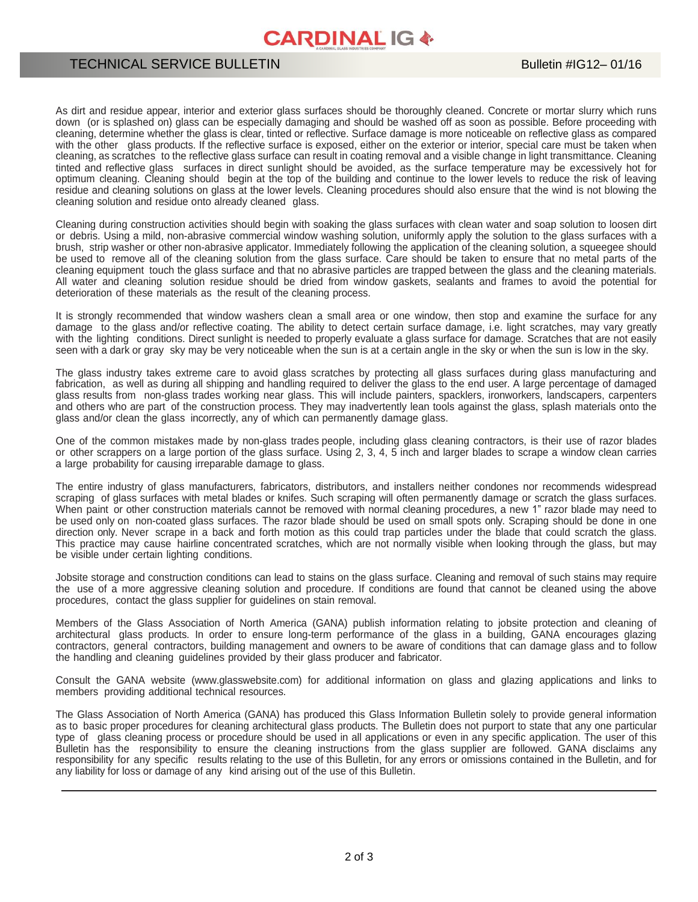# **CARDINAL IG &**

### TECHNICAL SERVICE BULLETIN

As dirt and residue appear, interior and exterior glass surfaces should be thoroughly cleaned. Concrete or mortar slurry which runs down (or is splashed on) glass can be especially damaging and should be washed off as soon as possible. Before proceeding with cleaning, determine whether the glass is clear, tinted or reflective. Surface damage is more noticeable on reflective glass as compared with the other glass products. If the reflective surface is exposed, either on the exterior or interior, special care must be taken when cleaning, as scratches to the reflective glass surface can result in coating removal and a visible change in light transmittance. Cleaning tinted and reflective glass surfaces in direct sunlight should be avoided, as the surface temperature may be excessively hot for optimum cleaning. Cleaning should begin at the top of the building and continue to the lower levels to reduce the risk of leaving residue and cleaning solutions on glass at the lower levels. Cleaning procedures should also ensure that the wind is not blowing the cleaning solution and residue onto already cleaned glass.

Cleaning during construction activities should begin with soaking the glass surfaces with clean water and soap solution to loosen dirt or debris. Using a mild, non-abrasive commercial window washing solution, uniformly apply the solution to the glass surfaces with a brush, strip washer or other non-abrasive applicator. Immediately following the application of the cleaning solution, a squeegee should be used to remove all of the cleaning solution from the glass surface. Care should be taken to ensure that no metal parts of the cleaning equipment touch the glass surface and that no abrasive particles are trapped between the glass and the cleaning materials. All water and cleaning solution residue should be dried from window gaskets, sealants and frames to avoid the potential for deterioration of these materials as the result of the cleaning process.

It is strongly recommended that window washers clean a small area or one window, then stop and examine the surface for any damage to the glass and/or reflective coating. The ability to detect certain surface damage, i.e. light scratches, may vary greatly with the lighting conditions. Direct sunlight is needed to properly evaluate a glass surface for damage. Scratches that are not easily seen with a dark or gray sky may be very noticeable when the sun is at a certain angle in the sky or when the sun is low in the sky.

The glass industry takes extreme care to avoid glass scratches by protecting all glass surfaces during glass manufacturing and fabrication, as well as during all shipping and handling required to deliver the glass to the end user. A large percentage of damaged glass results from non-glass trades working near glass. This will include painters, spacklers, ironworkers, landscapers, carpenters and others who are part of the construction process. They may inadvertently lean tools against the glass, splash materials onto the glass and/or clean the glass incorrectly, any of which can permanently damage glass.

One of the common mistakes made by non-glass trades people, including glass cleaning contractors, is their use of razor blades or other scrappers on a large portion of the glass surface. Using 2, 3, 4, 5 inch and larger blades to scrape a window clean carries a large probability for causing irreparable damage to glass.

The entire industry of glass manufacturers, fabricators, distributors, and installers neither condones nor recommends widespread scraping of glass surfaces with metal blades or knifes. Such scraping will often permanently damage or scratch the glass surfaces. When paint or other construction materials cannot be removed with normal cleaning procedures, a new 1" razor blade may need to be used only on non-coated glass surfaces. The razor blade should be used on small spots only. Scraping should be done in one direction only. Never scrape in a back and forth motion as this could trap particles under the blade that could scratch the glass. This practice may cause hairline concentrated scratches, which are not normally visible when looking through the glass, but may be visible under certain lighting conditions.

Jobsite storage and construction conditions can lead to stains on the glass surface. Cleaning and removal of such stains may require the use of a more aggressive cleaning solution and procedure. If conditions are found that cannot be cleaned using the above procedures, contact the glass supplier for guidelines on stain removal.

Members of the Glass Association of North America (GANA) publish information relating to jobsite protection and cleaning of architectural glass products. In order to ensure long-term performance of the glass in a building, GANA encourages glazing contractors, general contractors, building management and owners to be aware of conditions that can damage glass and to follow the handling and cleaning guidelines provided by their glass producer and fabricator.

Consult the GANA website (www.glasswebsite.com) for additional information on glass and glazing applications and links to members providing additional technical resources.

The Glass Association of North America (GANA) has produced this Glass Information Bulletin solely to provide general information as to basic proper procedures for cleaning architectural glass products. The Bulletin does not purport to state that any one particular type of glass cleaning process or procedure should be used in all applications or even in any specific application. The user of this Bulletin has the responsibility to ensure the cleaning instructions from the glass supplier are followed. GANA disclaims any responsibility for any specific results relating to the use of this Bulletin, for any errors or omissions contained in the Bulletin, and for any liability for loss or damage of any kind arising out of the use of this Bulletin.